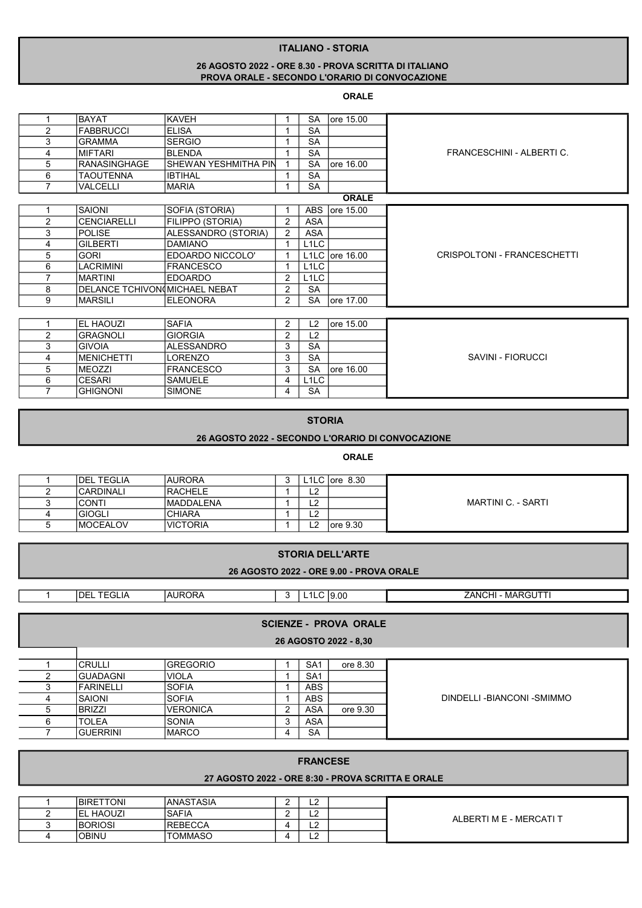## ITALIANO - STORIA

# 26 AGOSTO 2022 - ORE 8.30 - PROVA SCRITTA DI ITALIANO PROVA ORALE - SECONDO L'ORARIO DI CONVOCAZIONE

### ORALE

|                | <b>BAYAT</b>                  | <b>KAVEH</b>          |                | <b>SA</b>         | lore 15.00                          |                             |  |  |
|----------------|-------------------------------|-----------------------|----------------|-------------------|-------------------------------------|-----------------------------|--|--|
| $\overline{2}$ | <b>FABBRUCCI</b>              | <b>ELISA</b>          |                | <b>SA</b>         |                                     |                             |  |  |
| 3              | <b>GRAMMA</b>                 | <b>SERGIO</b>         |                | <b>SA</b>         |                                     |                             |  |  |
| 4              | <b>MIFTARI</b>                | <b>BLENDA</b>         |                | <b>SA</b>         |                                     | FRANCESCHINI - ALBERTIC.    |  |  |
| 5              | <b>RANASINGHAGE</b>           | İSHEWAN YESHMITHA PIN |                | <b>SA</b>         | ore 16.00                           |                             |  |  |
| 6              | <b>TAOUTENNA</b>              | <b>IBTIHAL</b>        |                | <b>SA</b>         |                                     |                             |  |  |
| $\overline{7}$ | VALCELLI                      | <b>MARIA</b>          | 1              | <b>SA</b>         |                                     |                             |  |  |
|                |                               |                       |                |                   | <b>ORALE</b>                        |                             |  |  |
|                | <b>SAIONI</b>                 | SOFIA (STORIA)        |                | <b>ABS</b>        | ore 15.00                           |                             |  |  |
| 2              | <b>CENCIARELLI</b>            | FILIPPO (STORIA)      | 2              | <b>ASA</b>        |                                     |                             |  |  |
| 3              | <b>POLISE</b>                 | ALESSANDRO (STORIA)   | $\overline{2}$ | <b>ASA</b>        |                                     |                             |  |  |
| 4              | <b>GILBERTI</b>               | <b>DAMIANO</b>        | 1              | L <sub>1</sub> LC |                                     |                             |  |  |
| 5              | <b>GORI</b>                   | EDOARDO NICCOLO'      |                |                   | L <sub>1</sub> LC $\vert$ ore 16.00 | CRISPOLTONI - FRANCESCHETTI |  |  |
| 6              | <b>LACRIMINI</b>              | <b>FRANCESCO</b>      |                | L <sub>1</sub> LC |                                     |                             |  |  |
| $\overline{ }$ | <b>MARTINI</b>                | <b>EDOARDO</b>        | 2              | L <sub>1</sub> LC |                                     |                             |  |  |
| 8              | DELANCE TCHIVON MICHAEL NEBAT |                       | 2              | <b>SA</b>         |                                     |                             |  |  |
| 9              | <b>MARSILI</b>                | <b>IELEONORA</b>      | $\overline{2}$ | <b>SA</b>         | lore 17.00                          |                             |  |  |
|                |                               |                       |                |                   |                                     |                             |  |  |
|                | <b>IEL HAOUZI</b>             | <b>SAFIA</b>          | $\overline{2}$ | L2                | ore 15.00                           |                             |  |  |
| 2              | <b>GRAGNOLI</b>               | <b>GIORGIA</b>        | 2              | L <sub>2</sub>    |                                     |                             |  |  |
| 3              | <b>GIVOIA</b>                 | ALESSANDRO            | 3              | <b>SA</b>         |                                     |                             |  |  |
| 4              | <b>MENICHETTI</b>             | <b>LORENZO</b>        | 3              | <b>SA</b>         |                                     | SAVINI - FIORUCCI           |  |  |
| 5              | <b>MEOZZI</b>                 | <b>FRANCESCO</b>      | 3              | <b>SA</b>         | lore 16.00                          |                             |  |  |
| 6              | <b>CESARI</b>                 | <b>SAMUELE</b>        | 4              | L <sub>1</sub> LC |                                     |                             |  |  |

### STORIA

7 GHIGNONI SIMONE 4 SA

## 26 AGOSTO 2022 - SECONDO L'ORARIO DI CONVOCAZIONE

#### ORALE

| <b>IDEL TEGLIA</b> | IAURORA           |              | L1LC $\overline{or}$ 8.30 |                    |
|--------------------|-------------------|--------------|---------------------------|--------------------|
| <b>CARDINALI</b>   | <b>IRACHELE</b>   | $\sim$<br>└  |                           |                    |
| <b>CONTI</b>       | <b>IMADDALENA</b> | $\sim$<br>∸  |                           | MARTINI C. - SARTI |
| <b>GIOGLI</b>      | <b>ICHIARA</b>    | $\sim$<br>∟∠ |                           |                    |
| <b>IMOCEALOV</b>   | <b>IVICTORIA</b>  | റ<br>∟∠      | lore 9.30                 |                    |

|                                         | <b>STORIA DELL'ARTE</b> |                 |                |                 |          |                          |  |  |  |
|-----------------------------------------|-------------------------|-----------------|----------------|-----------------|----------|--------------------------|--|--|--|
| 26 AGOSTO 2022 - ORE 9.00 - PROVA ORALE |                         |                 |                |                 |          |                          |  |  |  |
|                                         |                         |                 |                |                 |          |                          |  |  |  |
|                                         | <b>IDEL TEGLIA</b>      | <b>AURORA</b>   | 3              | $L1LC$ 9.00     |          | <b>ZANCHI - MARGUTTI</b> |  |  |  |
|                                         |                         |                 |                |                 |          |                          |  |  |  |
| <b>SCIENZE - PROVA ORALE</b>            |                         |                 |                |                 |          |                          |  |  |  |
| 26 AGOSTO 2022 - 8,30                   |                         |                 |                |                 |          |                          |  |  |  |
|                                         |                         |                 |                |                 |          |                          |  |  |  |
|                                         | <b>CRULLI</b>           | <b>GREGORIO</b> |                | SA <sub>1</sub> | ore 8.30 |                          |  |  |  |
| 2                                       | <b>GUADAGNI</b>         | <b>VIOLA</b>    |                | SA <sub>1</sub> |          |                          |  |  |  |
| 3                                       | <b>FARINELLI</b>        | <b>SOFIA</b>    |                | <b>ABS</b>      |          |                          |  |  |  |
| 4                                       | SAIONI                  | <b>SOFIA</b>    |                | ABS             |          | DINDELLI-BIANCONI-SMIMMO |  |  |  |
| 5                                       | <b>BRIZZI</b>           | <b>VERONICA</b> | $\overline{2}$ | ASA             | ore 9.30 |                          |  |  |  |
| 6                                       | <b>TOLEA</b>            | <b>SONIA</b>    | 3              | ASA             |          |                          |  |  |  |
|                                         | <b>GUERRINI</b>         | <b>IMARCO</b>   | 4              | <b>SA</b>       |          |                          |  |  |  |
|                                         |                         |                 |                |                 |          |                          |  |  |  |
|                                         | <b>FRANCESE</b>         |                 |                |                 |          |                          |  |  |  |

# 27 AGOSTO 2022 - ORE 8:30 - PROVA SCRITTA E ORALE

|  | <b>BIRETTONI</b> | IANASTASIA      | $\sim$<br>-- |                         |
|--|------------------|-----------------|--------------|-------------------------|
|  | . HAOUZI<br>-leu | ISAFIA          | $\sim$<br>-- | ALBERTI M E - MERCATI T |
|  | <b>BORIOSI</b>   | <b>IREBECCA</b> | $\sim$<br>-- |                         |
|  | <b>OBINU</b>     | <b>TOMMASO</b>  | $\sim$<br>-- |                         |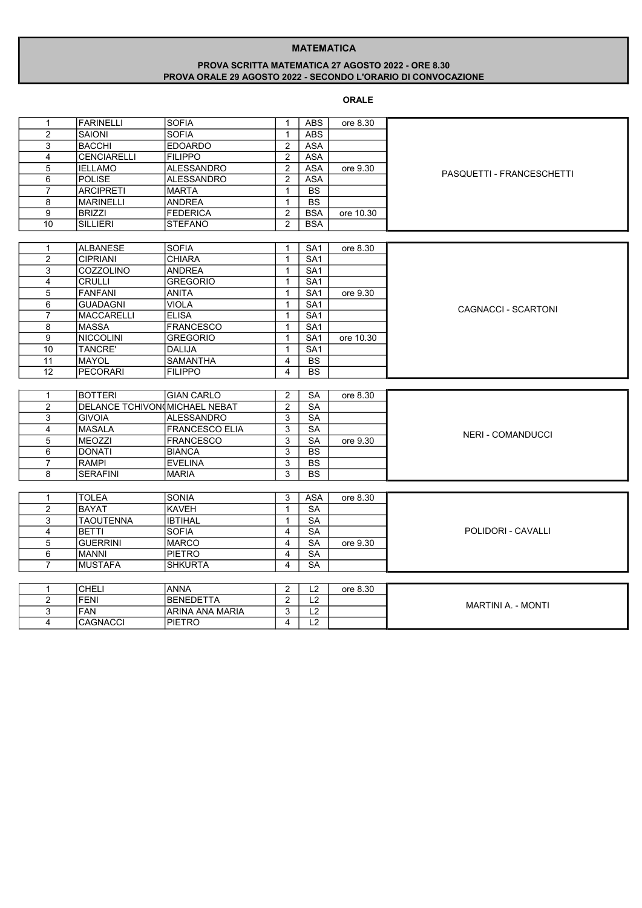### MATEMATICA

## PROVA SCRITTA MATEMATICA 27 AGOSTO 2022 - ORE 8.30 PROVA ORALE 29 AGOSTO 2022 - SECONDO L'ORARIO DI CONVOCAZIONE

# ORALE

|                         |                               | <b>SOFIA</b>          |                              | <b>ABS</b>       | ore 8.30  |                           |
|-------------------------|-------------------------------|-----------------------|------------------------------|------------------|-----------|---------------------------|
| 1<br>$\overline{2}$     | FARINELLI                     | <b>SOFIA</b>          | $\mathbf{1}$<br>$\mathbf{1}$ | <b>ABS</b>       |           |                           |
|                         | <b>SAIONI</b>                 |                       |                              |                  |           |                           |
| 3                       | <b>BACCHI</b>                 | <b>EDOARDO</b>        | $\mathbf{2}$                 | <b>ASA</b>       |           |                           |
| 4                       | CENCIARELLI                   | <b>FILIPPO</b>        | $\overline{2}$               | ASA              |           |                           |
| 5                       | <b>IELLAMO</b>                | <b>ALESSANDRO</b>     | $\overline{2}$               | <b>ASA</b>       | ore 9.30  | PASQUETTI - FRANCESCHETTI |
| 6                       | <b>POLISE</b>                 | <b>ALESSANDRO</b>     | $\overline{2}$               | <b>ASA</b>       |           |                           |
| $\overline{7}$          | <b>ARCIPRETI</b>              | <b>MARTA</b>          | $\mathbf{1}$                 | <b>BS</b>        |           |                           |
| 8                       | <b>MARINELLI</b>              | <b>ANDREA</b>         | $\mathbf{1}$                 | <b>BS</b>        |           |                           |
| 9                       | <b>BRIZZI</b>                 | <b>FEDERICA</b>       | $\overline{2}$               | <b>BSA</b>       | ore 10.30 |                           |
| 10                      | <b>SILLIERI</b>               | STEFANO               | 2                            | <b>BSA</b>       |           |                           |
|                         |                               |                       |                              |                  |           |                           |
| 1                       | <b>ALBANESE</b>               | <b>SOFIA</b>          | 1                            | SA <sub>1</sub>  | ore 8.30  |                           |
| $\overline{c}$          | <b>CIPRIANI</b>               | <b>CHIARA</b>         | $\mathbf{1}$                 | SA <sub>1</sub>  |           |                           |
| 3                       | <b>COZZOLINO</b>              | <b>ANDREA</b>         | $\mathbf{1}$                 | SA1              |           |                           |
| 4                       | <b>CRULLI</b>                 | <b>GREGORIO</b>       | $\mathbf{1}$                 | SA <sub>1</sub>  |           |                           |
| 5                       | <b>FANFANI</b>                | ANITA                 | $\mathbf{1}$                 | SA <sub>1</sub>  | ore 9.30  |                           |
| 6                       | <b>GUADAGNI</b>               | <b>VIOLA</b>          | $\mathbf{1}$                 | SA <sub>1</sub>  |           |                           |
| $\overline{7}$          | <b>MACCARELLI</b>             | <b>ELISA</b>          | $\mathbf{1}$                 | SA <sub>1</sub>  |           | CAGNACCI - SCARTONI       |
| 8                       | <b>MASSA</b>                  | <b>FRANCESCO</b>      | $\mathbf{1}$                 | $\overline{SA1}$ |           |                           |
| 9                       | <b>NICCOLINI</b>              | <b>GREGORIO</b>       | $\mathbf{1}$                 | SA1              | ore 10.30 |                           |
| 10                      | <b>TANCRE'</b>                | DALIJA                | $\mathbf{1}$                 | SA <sub>1</sub>  |           |                           |
| 11                      | <b>MAYOL</b>                  | <b>SAMANTHA</b>       | 4                            | <b>BS</b>        |           |                           |
| 12                      | <b>PECORARI</b>               | <b>FILIPPO</b>        | 4                            | <b>BS</b>        |           |                           |
|                         |                               |                       |                              |                  |           |                           |
| $\mathbf{1}$            | <b>BOTTERI</b>                | <b>GIAN CARLO</b>     | $\overline{2}$               | <b>SA</b>        | ore 8.30  |                           |
| $\overline{2}$          | DELANCE TCHIVON MICHAEL NEBAT |                       | $\overline{2}$               | <b>SA</b>        |           |                           |
| 3                       | <b>GIVOIA</b>                 | <b>ALESSANDRO</b>     | 3                            | SA               |           |                           |
| $\overline{\mathbf{4}}$ | <b>MASALA</b>                 | <b>FRANCESCO ELIA</b> | 3                            | <b>SA</b>        |           |                           |
| 5                       | MEOZZI                        | <b>FRANCESCO</b>      | 3                            | <b>SA</b>        | ore 9.30  | <b>NERI - COMANDUCCI</b>  |
| 6                       | <b>DONATI</b>                 | <b>BIANCA</b>         | 3                            | <b>BS</b>        |           |                           |
| $\overline{7}$          | <b>RAMPI</b>                  | <b>EVELINA</b>        | 3                            | $\overline{BS}$  |           |                           |
| 8                       | <b>SERAFINI</b>               | <b>MARIA</b>          | 3                            | <b>BS</b>        |           |                           |
|                         |                               |                       |                              |                  |           |                           |
|                         |                               |                       |                              |                  |           |                           |
| $\mathbf{1}$            | <b>TOLEA</b>                  | <b>SONIA</b>          | 3                            | <b>ASA</b>       | ore 8.30  |                           |
| $\overline{c}$          | <b>BAYAT</b>                  | <b>KAVEH</b>          | $\mathbf{1}$                 | <b>SA</b>        |           |                           |
| 3                       | <b>TAOUTENNA</b>              | <b>IBTIHAL</b>        | $\mathbf{1}$                 | <b>SA</b>        |           |                           |
| 4                       | <b>BETTI</b>                  | <b>SOFIA</b>          | $\overline{4}$               | <b>SA</b>        |           | POLIDORI - CAVALLI        |
| 5                       | <b>GUERRINI</b>               | <b>MARCO</b>          | 4                            | <b>SA</b>        | ore 9.30  |                           |
| 6                       | <b>MANNI</b>                  | <b>PIETRO</b>         | $\overline{4}$               | <b>SA</b>        |           |                           |
| $\overline{7}$          | <b>MUSTAFA</b>                | <b>SHKURTA</b>        | $\overline{4}$               | <b>SA</b>        |           |                           |
|                         |                               |                       |                              |                  |           |                           |
| 1                       | <b>CHELI</b>                  | <b>ANNA</b>           | $\overline{2}$               | L2               | ore 8.30  |                           |
| 2                       | <b>FENI</b>                   | <b>BENEDETTA</b>      | $\overline{2}$               | L2               |           | <b>MARTINI A. - MONTI</b> |
| 3                       | <b>FAN</b>                    | ARINA ANA MARIA       | 3                            | L2               |           |                           |
| 4                       | <b>CAGNACCI</b>               | <b>PIETRO</b>         | 4                            | $\overline{L2}$  |           |                           |